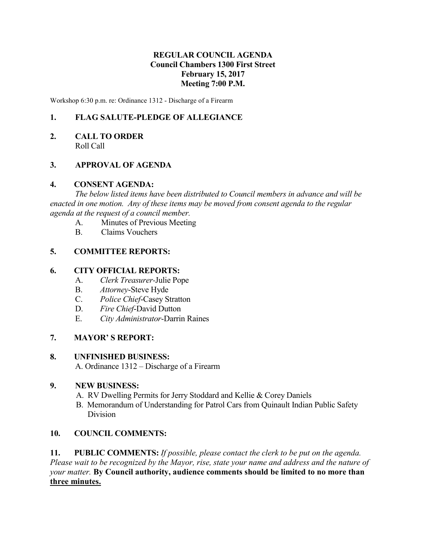# **REGULAR COUNCIL AGENDA Council Chambers 1300 First Street February 15, 2017 Meeting 7:00 P.M.**

Workshop 6:30 p.m. re: Ordinance 1312 - Discharge of a Firearm

# **1. FLAG SALUTE-PLEDGE OF ALLEGIANCE**

**2. CALL TO ORDER** Roll Call

## **3. APPROVAL OF AGENDA**

#### **4. CONSENT AGENDA:**

*The below listed items have been distributed to Council members in advance and will be enacted in one motion. Any of these items may be moved from consent agenda to the regular agenda at the request of a council member.*

- A. Minutes of Previous Meeting
- B. Claims Vouchers

#### **5. COMMITTEE REPORTS:**

#### **6. CITY OFFICIAL REPORTS:**

- A. *Clerk Treasurer-*Julie Pope
- B. *Attorney*-Steve Hyde
- C. *Police Chief*-Casey Stratton
- D. *Fire Chief*-David Dutton
- E. *City Administrator*-Darrin Raines

## **7. MAYOR' S REPORT:**

#### **8. UNFINISHED BUSINESS:**

A. Ordinance 1312 – Discharge of a Firearm

#### **9. NEW BUSINESS:**

- A. RV Dwelling Permits for Jerry Stoddard and Kellie & Corey Daniels
- B. Memorandum of Understanding for Patrol Cars from Quinault Indian Public Safety Division

## **10. COUNCIL COMMENTS:**

**11. PUBLIC COMMENTS:** *If possible, please contact the clerk to be put on the agenda. Please wait to be recognized by the Mayor, rise, state your name and address and the nature of your matter.* **By Council authority, audience comments should be limited to no more than three minutes.**